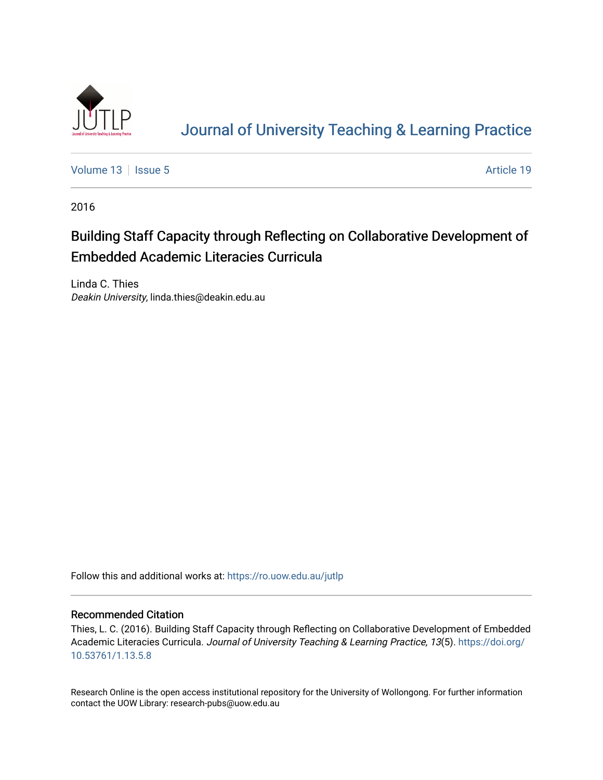

# [Journal of University Teaching & Learning Practice](https://ro.uow.edu.au/jutlp)

[Volume 13](https://ro.uow.edu.au/jutlp/vol13) | [Issue 5](https://ro.uow.edu.au/jutlp/vol13/iss5) Article 19

2016

# Building Staff Capacity through Reflecting on Collaborative Development of Embedded Academic Literacies Curricula

Linda C. Thies Deakin University, linda.thies@deakin.edu.au

Follow this and additional works at: [https://ro.uow.edu.au/jutlp](https://ro.uow.edu.au/jutlp?utm_source=ro.uow.edu.au%2Fjutlp%2Fvol13%2Fiss5%2F19&utm_medium=PDF&utm_campaign=PDFCoverPages) 

### Recommended Citation

Thies, L. C. (2016). Building Staff Capacity through Reflecting on Collaborative Development of Embedded Academic Literacies Curricula. Journal of University Teaching & Learning Practice, 13(5). [https://doi.org/](https://doi.org/10.53761/1.13.5.8) [10.53761/1.13.5.8](https://doi.org/10.53761/1.13.5.8) 

Research Online is the open access institutional repository for the University of Wollongong. For further information contact the UOW Library: research-pubs@uow.edu.au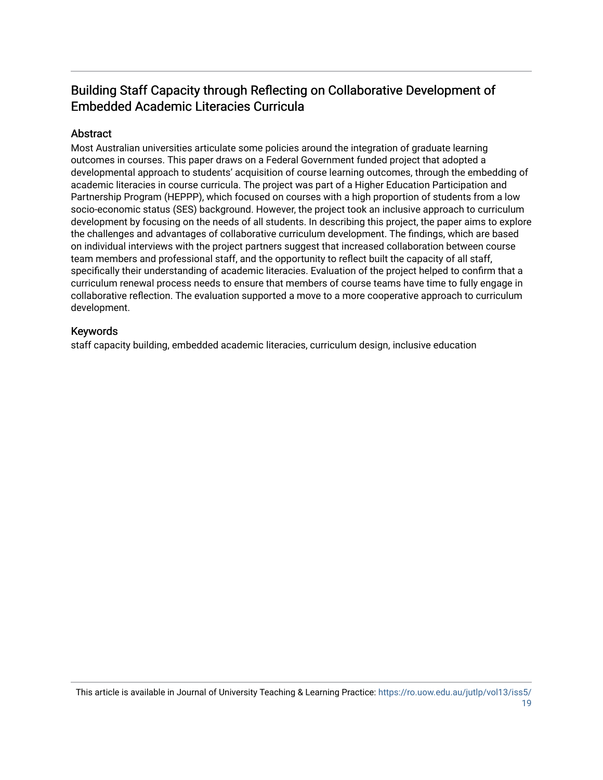## Building Staff Capacity through Reflecting on Collaborative Development of Embedded Academic Literacies Curricula

## Abstract

Most Australian universities articulate some policies around the integration of graduate learning outcomes in courses. This paper draws on a Federal Government funded project that adopted a developmental approach to students' acquisition of course learning outcomes, through the embedding of academic literacies in course curricula. The project was part of a Higher Education Participation and Partnership Program (HEPPP), which focused on courses with a high proportion of students from a low socio-economic status (SES) background. However, the project took an inclusive approach to curriculum development by focusing on the needs of all students. In describing this project, the paper aims to explore the challenges and advantages of collaborative curriculum development. The findings, which are based on individual interviews with the project partners suggest that increased collaboration between course team members and professional staff, and the opportunity to reflect built the capacity of all staff, specifically their understanding of academic literacies. Evaluation of the project helped to confirm that a curriculum renewal process needs to ensure that members of course teams have time to fully engage in collaborative reflection. The evaluation supported a move to a more cooperative approach to curriculum development.

## Keywords

staff capacity building, embedded academic literacies, curriculum design, inclusive education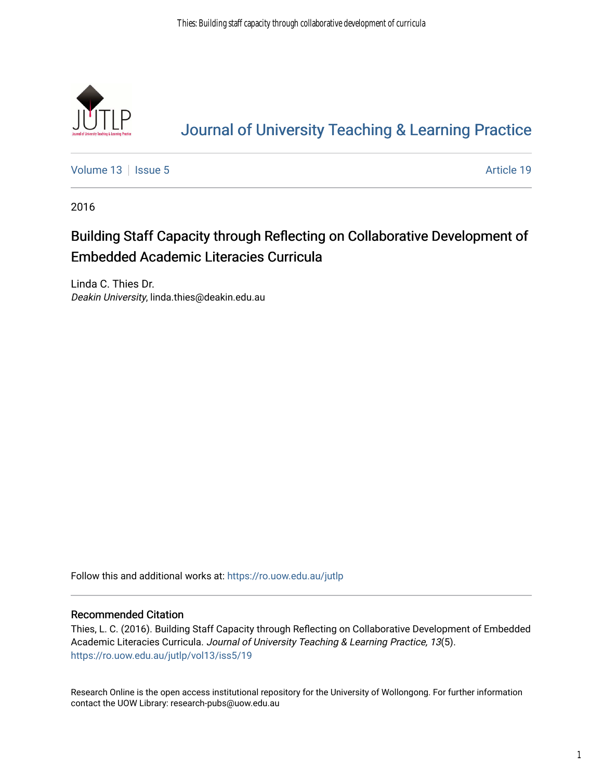

# [Journal of University Teaching & Learning Practice](https://ro.uow.edu.au/jutlp)

[Volume 13](https://ro.uow.edu.au/jutlp/vol13) | [Issue 5](https://ro.uow.edu.au/jutlp/vol13/iss5) Article 19

2016

# Building Staff Capacity through Reflecting on Collaborative Development of Embedded Academic Literacies Curricula

Linda C. Thies Dr. Deakin University, linda.thies@deakin.edu.au

Follow this and additional works at: [https://ro.uow.edu.au/jutlp](https://ro.uow.edu.au/jutlp?utm_source=ro.uow.edu.au%2Fjutlp%2Fvol13%2Fiss5%2F19&utm_medium=PDF&utm_campaign=PDFCoverPages) 

### Recommended Citation

Thies, L. C. (2016). Building Staff Capacity through Reflecting on Collaborative Development of Embedded Academic Literacies Curricula. Journal of University Teaching & Learning Practice, 13(5). [https://ro.uow.edu.au/jutlp/vol13/iss5/19](https://ro.uow.edu.au/jutlp/vol13/iss5/19?utm_source=ro.uow.edu.au%2Fjutlp%2Fvol13%2Fiss5%2F19&utm_medium=PDF&utm_campaign=PDFCoverPages)

Research Online is the open access institutional repository for the University of Wollongong. For further information contact the UOW Library: research-pubs@uow.edu.au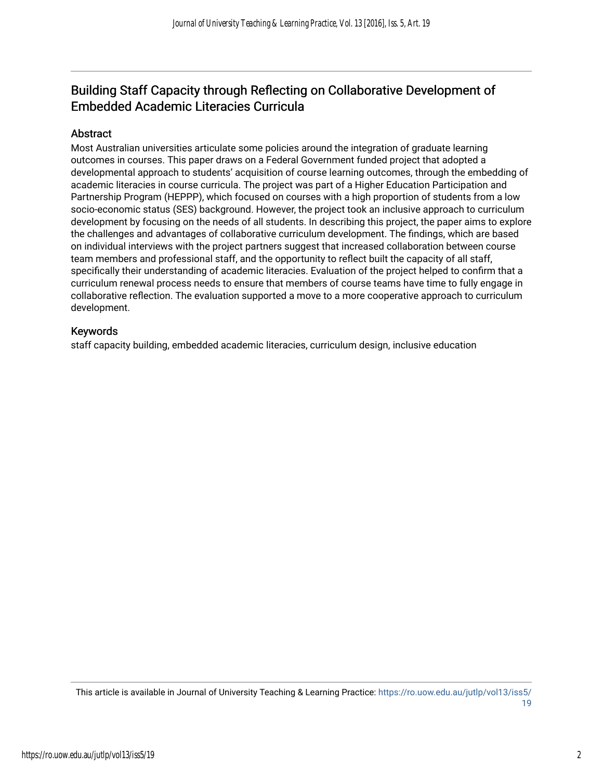## Building Staff Capacity through Reflecting on Collaborative Development of Embedded Academic Literacies Curricula

## Abstract

Most Australian universities articulate some policies around the integration of graduate learning outcomes in courses. This paper draws on a Federal Government funded project that adopted a developmental approach to students' acquisition of course learning outcomes, through the embedding of academic literacies in course curricula. The project was part of a Higher Education Participation and Partnership Program (HEPPP), which focused on courses with a high proportion of students from a low socio-economic status (SES) background. However, the project took an inclusive approach to curriculum development by focusing on the needs of all students. In describing this project, the paper aims to explore the challenges and advantages of collaborative curriculum development. The findings, which are based on individual interviews with the project partners suggest that increased collaboration between course team members and professional staff, and the opportunity to reflect built the capacity of all staff, specifically their understanding of academic literacies. Evaluation of the project helped to confirm that a curriculum renewal process needs to ensure that members of course teams have time to fully engage in collaborative reflection. The evaluation supported a move to a more cooperative approach to curriculum development.

## Keywords

staff capacity building, embedded academic literacies, curriculum design, inclusive education

This article is available in Journal of University Teaching & Learning Practice: [https://ro.uow.edu.au/jutlp/vol13/iss5/](https://ro.uow.edu.au/jutlp/vol13/iss5/19) [19](https://ro.uow.edu.au/jutlp/vol13/iss5/19)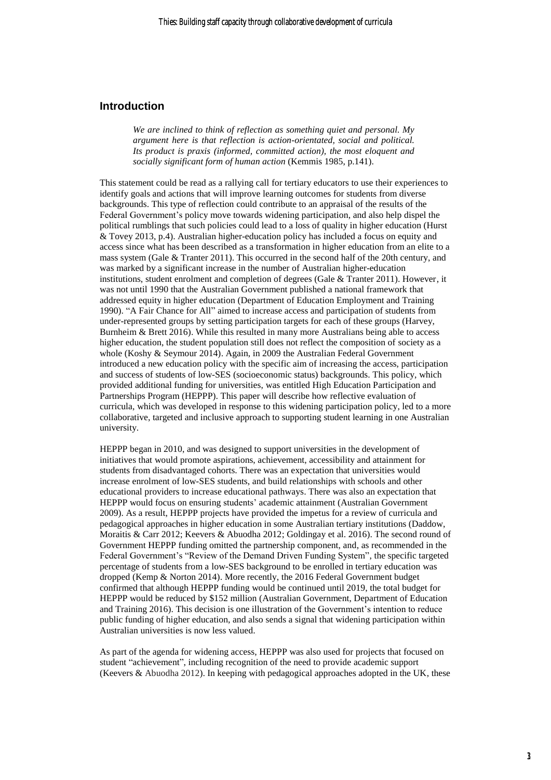## **Introduction**

*We are inclined to think of reflection as something quiet and personal. My argument here is that reflection is action-orientated, social and political. Its product is praxis (informed, committed action), the most eloquent and socially significant form of human action* (Kemmis 1985, p.141).

This statement could be read as a rallying call for tertiary educators to use their experiences to identify goals and actions that will improve learning outcomes for students from diverse backgrounds. This type of reflection could contribute to an appraisal of the results of the Federal Government's policy move towards widening participation, and also help dispel the political rumblings that such policies could lead to a loss of quality in higher education (Hurst & Tovey 2013, p.4). Australian higher-education policy has included a focus on equity and access since what has been described as a transformation in higher education from an elite to a mass system (Gale & Tranter 2011). This occurred in the second half of the 20th century, and was marked by a significant increase in the number of Australian higher-education institutions, student enrolment and completion of degrees (Gale & Tranter 2011). However, it was not until 1990 that the Australian Government published a national framework that addressed equity in higher education (Department of Education Employment and Training 1990). "A Fair Chance for All" aimed to increase access and participation of students from under-represented groups by setting participation targets for each of these groups (Harvey, Burnheim & Brett 2016). While this resulted in many more Australians being able to access higher education, the student population still does not reflect the composition of society as a whole (Koshy & Seymour 2014). Again, in 2009 the Australian Federal Government introduced a new education policy with the specific aim of increasing the access, participation and success of students of low-SES (socioeconomic status) backgrounds. This policy, which provided additional funding for universities, was entitled High Education Participation and Partnerships Program (HEPPP). This paper will describe how reflective evaluation of curricula, which was developed in response to this widening participation policy, led to a more collaborative, targeted and inclusive approach to supporting student learning in one Australian university.

HEPPP began in 2010, and was designed to support universities in the development of initiatives that would promote aspirations, achievement, accessibility and attainment for students from disadvantaged cohorts. There was an expectation that universities would increase enrolment of low-SES students, and build relationships with schools and other educational providers to increase educational pathways. There was also an expectation that HEPPP would focus on ensuring students' academic attainment (Australian Government 2009). As a result, HEPPP projects have provided the impetus for a review of curricula and pedagogical approaches in higher education in some Australian tertiary institutions (Daddow, Moraitis & Carr 2012; Keevers & Abuodha 2012; Goldingay et al. 2016). The second round of Government HEPPP funding omitted the partnership component, and, as recommended in the Federal Government's "Review of the Demand Driven Funding System", the specific targeted percentage of students from a low-SES background to be enrolled in tertiary education was dropped (Kemp & Norton 2014). More recently, the 2016 Federal Government budget confirmed that although HEPPP funding would be continued until 2019, the total budget for HEPPP would be reduced by \$152 million (Australian Government, Department of Education and Training 2016). This decision is one illustration of the Government's intention to reduce public funding of higher education, and also sends a signal that widening participation within Australian universities is now less valued.

As part of the agenda for widening access, HEPPP was also used for projects that focused on student "achievement", including recognition of the need to provide academic support (Keevers & Abuodha 2012). In keeping with pedagogical approaches adopted in the UK, these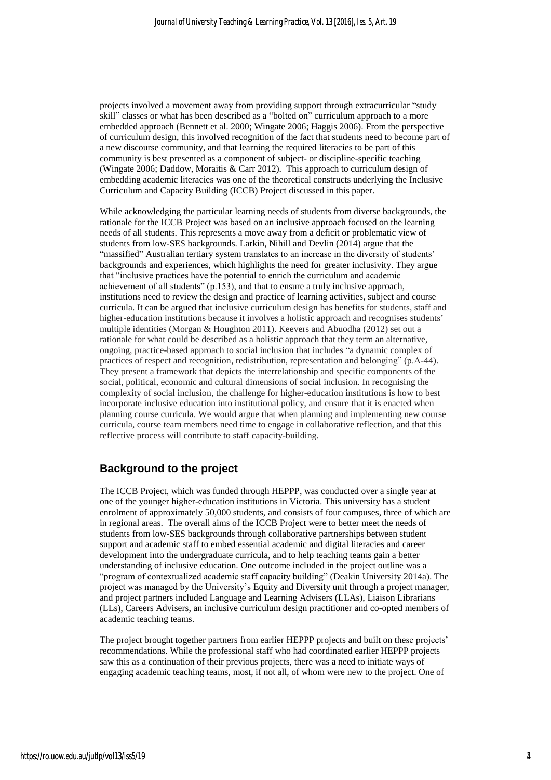projects involved a movement away from providing support through extracurricular "study skill" classes or what has been described as a "bolted on" curriculum approach to a more embedded approach (Bennett et al. 2000; Wingate 2006; Haggis 2006). From the perspective of curriculum design, this involved recognition of the fact that students need to become part of a new discourse community, and that learning the required literacies to be part of this community is best presented as a component of subject- or discipline-specific teaching (Wingate 2006; Daddow, Moraitis & Carr 2012). This approach to curriculum design of embedding academic literacies was one of the theoretical constructs underlying the Inclusive Curriculum and Capacity Building (ICCB) Project discussed in this paper.

While acknowledging the particular learning needs of students from diverse backgrounds, the rationale for the ICCB Project was based on an inclusive approach focused on the learning needs of all students. This represents a move away from a deficit or problematic view of students from low-SES backgrounds. Larkin, Nihill and Devlin (2014) argue that the "massified" Australian tertiary system translates to an increase in the diversity of students' backgrounds and experiences, which highlights the need for greater inclusivity. They argue that "inclusive practices have the potential to enrich the curriculum and academic achievement of all students" (p.153), and that to ensure a truly inclusive approach, institutions need to review the design and practice of learning activities, subject and course curricula. It can be argued that inclusive curriculum design has benefits for students, staff and higher-education institutions because it involves a holistic approach and recognises students' multiple identities (Morgan & Houghton 2011). Keevers and Abuodha (2012) set out a rationale for what could be described as a holistic approach that they term an alternative, ongoing, practice-based approach to social inclusion that includes "a dynamic complex of practices of respect and recognition, redistribution, representation and belonging" (p.A-44). They present a framework that depicts the interrelationship and specific components of the social, political, economic and cultural dimensions of social inclusion. In recognising the complexity of social inclusion, the challenge for higher-education **i**nstitutions is how to best incorporate inclusive education into institutional policy, and ensure that it is enacted when planning course curricula. We would argue that when planning and implementing new course curricula, course team members need time to engage in collaborative reflection, and that this reflective process will contribute to staff capacity-building.

### **Background to the project**

The ICCB Project, which was funded through HEPPP, was conducted over a single year at one of the younger higher-education institutions in Victoria. This university has a student enrolment of approximately 50,000 students, and consists of four campuses, three of which are in regional areas. The overall aims of the ICCB Project were to better meet the needs of students from low-SES backgrounds through collaborative partnerships between student support and academic staff to embed essential academic and digital literacies and career development into the undergraduate curricula, and to help teaching teams gain a better understanding of inclusive education. One outcome included in the project outline was a "program of contextualized academic staff capacity building" (Deakin University 2014a). The project was managed by the University's Equity and Diversity unit through a project manager, and project partners included Language and Learning Advisers (LLAs), Liaison Librarians (LLs), Careers Advisers, an inclusive curriculum design practitioner and co-opted members of academic teaching teams.

The project brought together partners from earlier HEPPP projects and built on these projects' recommendations. While the professional staff who had coordinated earlier HEPPP projects saw this as a continuation of their previous projects, there was a need to initiate ways of engaging academic teaching teams, most, if not all, of whom were new to the project. One of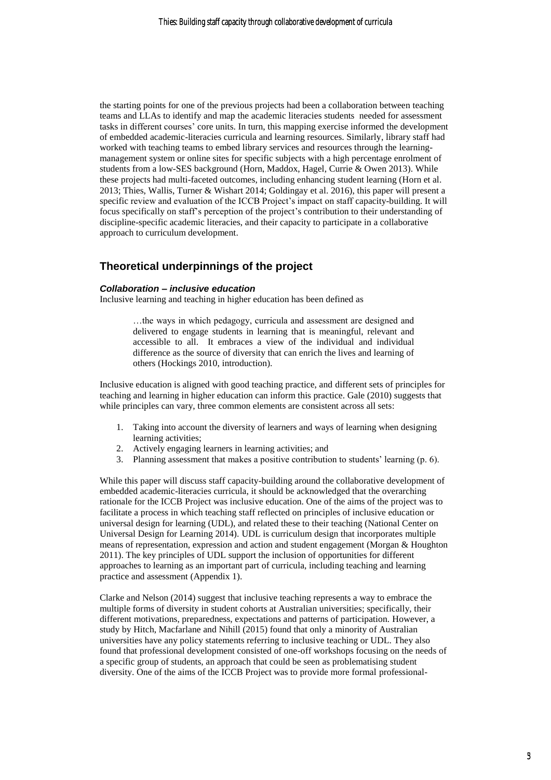the starting points for one of the previous projects had been a collaboration between teaching teams and LLAs to identify and map the academic literacies students needed for assessment tasks in different courses' core units. In turn, this mapping exercise informed the development of embedded academic-literacies curricula and learning resources. Similarly, library staff had worked with teaching teams to embed library services and resources through the learningmanagement system or online sites for specific subjects with a high percentage enrolment of students from a low-SES background (Horn, Maddox, Hagel, Currie & Owen 2013). While these projects had multi-faceted outcomes, including enhancing student learning (Horn et al. 2013; Thies, Wallis, Turner & Wishart 2014; Goldingay et al. 2016), this paper will present a specific review and evaluation of the ICCB Project's impact on staff capacity-building. It will focus specifically on staff's perception of the project's contribution to their understanding of discipline-specific academic literacies, and their capacity to participate in a collaborative approach to curriculum development.

## **Theoretical underpinnings of the project**

#### *Collaboration – inclusive education*

Inclusive learning and teaching in higher education has been defined as

…the ways in which pedagogy, curricula and assessment are designed and delivered to engage students in learning that is meaningful, relevant and accessible to all. It embraces a view of the individual and individual difference as the source of diversity that can enrich the lives and learning of others (Hockings 2010, introduction).

Inclusive education is aligned with good teaching practice, and different sets of principles for teaching and learning in higher education can inform this practice. Gale (2010) suggests that while principles can vary, three common elements are consistent across all sets:

- 1. Taking into account the diversity of learners and ways of learning when designing learning activities;
- 2. Actively engaging learners in learning activities; and
- 3. Planning assessment that makes a positive contribution to students' learning (p. 6).

While this paper will discuss staff capacity-building around the collaborative development of embedded academic-literacies curricula, it should be acknowledged that the overarching rationale for the ICCB Project was inclusive education. One of the aims of the project was to facilitate a process in which teaching staff reflected on principles of inclusive education or universal design for learning (UDL), and related these to their teaching (National Center on Universal Design for Learning 2014). UDL is curriculum design that incorporates multiple means of representation, expression and action and student engagement (Morgan & Houghton 2011). The key principles of UDL support the inclusion of opportunities for different approaches to learning as an important part of curricula, including teaching and learning practice and assessment (Appendix 1).

Clarke and Nelson (2014) suggest that inclusive teaching represents a way to embrace the multiple forms of diversity in student cohorts at Australian universities; specifically, their different motivations, preparedness, expectations and patterns of participation. However, a study by Hitch, Macfarlane and Nihill (2015) found that only a minority of Australian universities have any policy statements referring to inclusive teaching or UDL. They also found that professional development consisted of one-off workshops focusing on the needs of a specific group of students, an approach that could be seen as problematising student diversity. One of the aims of the ICCB Project was to provide more formal professional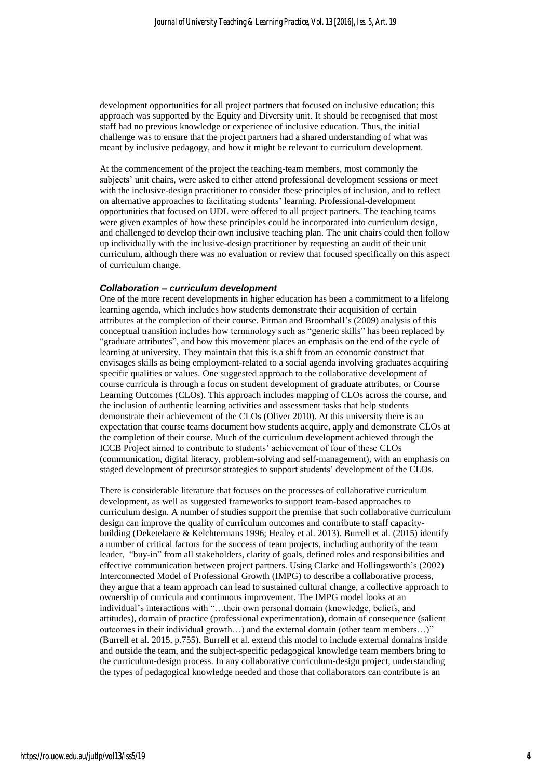development opportunities for all project partners that focused on inclusive education; this approach was supported by the Equity and Diversity unit. It should be recognised that most staff had no previous knowledge or experience of inclusive education. Thus, the initial challenge was to ensure that the project partners had a shared understanding of what was meant by inclusive pedagogy, and how it might be relevant to curriculum development.

At the commencement of the project the teaching-team members, most commonly the subjects' unit chairs, were asked to either attend professional development sessions or meet with the inclusive-design practitioner to consider these principles of inclusion, and to reflect on alternative approaches to facilitating students' learning. Professional-development opportunities that focused on UDL were offered to all project partners. The teaching teams were given examples of how these principles could be incorporated into curriculum design, and challenged to develop their own inclusive teaching plan. The unit chairs could then follow up individually with the inclusive-design practitioner by requesting an audit of their unit curriculum, although there was no evaluation or review that focused specifically on this aspect of curriculum change.

#### *Collaboration – curriculum development*

One of the more recent developments in higher education has been a commitment to a lifelong learning agenda, which includes how students demonstrate their acquisition of certain attributes at the completion of their course. Pitman and Broomhall's (2009) analysis of this conceptual transition includes how terminology such as "generic skills" has been replaced by "graduate attributes", and how this movement places an emphasis on the end of the cycle of learning at university. They maintain that this is a shift from an economic construct that envisages skills as being employment-related to a social agenda involving graduates acquiring specific qualities or values. One suggested approach to the collaborative development of course curricula is through a focus on student development of graduate attributes, or Course Learning Outcomes (CLOs). This approach includes mapping of CLOs across the course, and the inclusion of authentic learning activities and assessment tasks that help students demonstrate their achievement of the CLOs (Oliver 2010). At this university there is an expectation that course teams document how students acquire, apply and demonstrate CLOs at the completion of their course. Much of the curriculum development achieved through the ICCB Project aimed to contribute to students' achievement of four of these CLOs (communication, digital literacy, problem-solving and self-management), with an emphasis on staged development of precursor strategies to support students' development of the CLOs.

There is considerable literature that focuses on the processes of collaborative curriculum development, as well as suggested frameworks to support team-based approaches to curriculum design. A number of studies support the premise that such collaborative curriculum design can improve the quality of curriculum outcomes and contribute to staff capacitybuilding (Deketelaere & Kelchtermans 1996; Healey et al. 2013). Burrell et al. (2015) identify a number of critical factors for the success of team projects, including authority of the team leader, "buy-in" from all stakeholders, clarity of goals, defined roles and responsibilities and effective communication between project partners. Using Clarke and Hollingsworth's (2002) Interconnected Model of Professional Growth (IMPG) to describe a collaborative process, they argue that a team approach can lead to sustained cultural change, a collective approach to ownership of curricula and continuous improvement. The IMPG model looks at an individual's interactions with "…their own personal domain (knowledge, beliefs, and attitudes), domain of practice (professional experimentation), domain of consequence (salient outcomes in their individual growth…) and the external domain (other team members…)" (Burrell et al. 2015, p.755). Burrell et al. extend this model to include external domains inside and outside the team, and the subject-specific pedagogical knowledge team members bring to the curriculum-design process. In any collaborative curriculum-design project, understanding the types of pedagogical knowledge needed and those that collaborators can contribute is an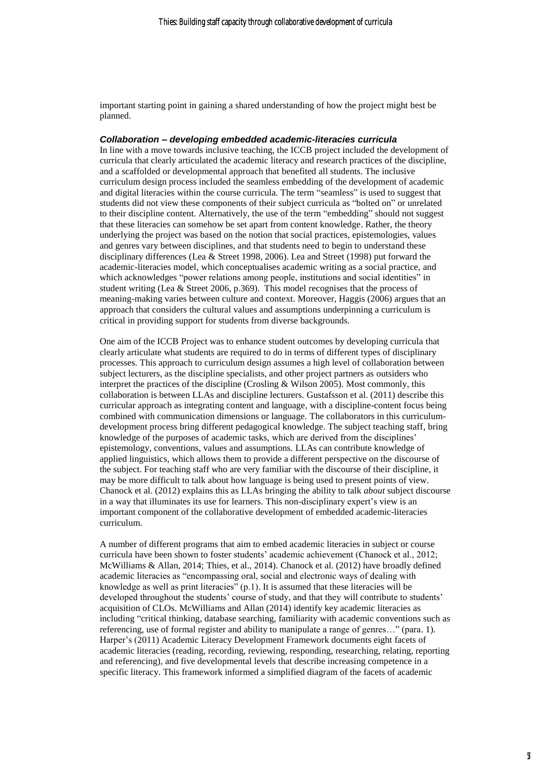important starting point in gaining a shared understanding of how the project might best be planned.

#### *Collaboration – developing embedded academic-literacies curricula*

In line with a move towards inclusive teaching, the ICCB project included the development of curricula that clearly articulated the academic literacy and research practices of the discipline, and a scaffolded or developmental approach that benefited all students. The inclusive curriculum design process included the seamless embedding of the development of academic and digital literacies within the course curricula. The term "seamless" is used to suggest that students did not view these components of their subject curricula as "bolted on" or unrelated to their discipline content. Alternatively, the use of the term "embedding" should not suggest that these literacies can somehow be set apart from content knowledge. Rather, the theory underlying the project was based on the notion that social practices, epistemologies, values and genres vary between disciplines, and that students need to begin to understand these disciplinary differences (Lea & Street 1998, 2006). Lea and Street (1998) put forward the academic-literacies model, which conceptualises academic writing as a social practice, and which acknowledges "power relations among people, institutions and social identities" in student writing (Lea & Street 2006, p.369). This model recognises that the process of meaning-making varies between culture and context. Moreover, Haggis (2006) argues that an approach that considers the cultural values and assumptions underpinning a curriculum is critical in providing support for students from diverse backgrounds.

One aim of the ICCB Project was to enhance student outcomes by developing curricula that clearly articulate what students are required to do in terms of different types of disciplinary processes. This approach to curriculum design assumes a high level of collaboration between subject lecturers, as the discipline specialists, and other project partners as outsiders who interpret the practices of the discipline (Crosling & Wilson 2005). Most commonly, this collaboration is between LLAs and discipline lecturers. Gustafsson et al. (2011) describe this curricular approach as integrating content and language, with a discipline-content focus being combined with communication dimensions or language. The collaborators in this curriculumdevelopment process bring different pedagogical knowledge. The subject teaching staff, bring knowledge of the purposes of academic tasks, which are derived from the disciplines' epistemology, conventions, values and assumptions. LLAs can contribute knowledge of applied linguistics, which allows them to provide a different perspective on the discourse of the subject. For teaching staff who are very familiar with the discourse of their discipline, it may be more difficult to talk about how language is being used to present points of view. Chanock et al. (2012) explains this as LLAs bringing the ability to talk *about* subject discourse in a way that illuminates its use for learners. This non-disciplinary expert's view is an important component of the collaborative development of embedded academic-literacies curriculum.

A number of different programs that aim to embed academic literacies in subject or course curricula have been shown to foster students' academic achievement (Chanock et al., 2012; McWilliams & Allan, 2014; Thies, et al., 2014). Chanock et al. (2012) have broadly defined academic literacies as "encompassing oral, social and electronic ways of dealing with knowledge as well as print literacies" (p.1). It is assumed that these literacies will be developed throughout the students' course of study, and that they will contribute to students' acquisition of CLOs. McWilliams and Allan (2014) identify key academic literacies as including "critical thinking, database searching, familiarity with academic conventions such as referencing, use of formal register and ability to manipulate a range of genres…" (para. 1). Harper's (2011) Academic Literacy Development Framework documents eight facets of academic literacies (reading, recording, reviewing, responding, researching, relating, reporting and referencing), and five developmental levels that describe increasing competence in a specific literacy. This framework informed a simplified diagram of the facets of academic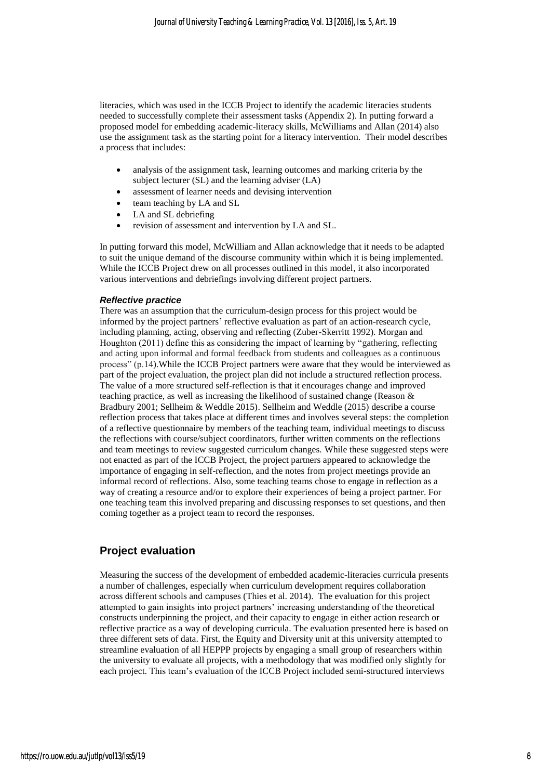literacies, which was used in the ICCB Project to identify the academic literacies students needed to successfully complete their assessment tasks (Appendix 2). In putting forward a proposed model for embedding academic-literacy skills, McWilliams and Allan (2014) also use the assignment task as the starting point for a literacy intervention. Their model describes a process that includes:

- analysis of the assignment task, learning outcomes and marking criteria by the subject lecturer (SL) and the learning adviser (LA)
- assessment of learner needs and devising intervention
- team teaching by LA and SL
- LA and SL debriefing
- revision of assessment and intervention by LA and SL.

In putting forward this model, McWilliam and Allan acknowledge that it needs to be adapted to suit the unique demand of the discourse community within which it is being implemented. While the ICCB Project drew on all processes outlined in this model, it also incorporated various interventions and debriefings involving different project partners.

#### *Reflective practice*

There was an assumption that the curriculum-design process for this project would be informed by the project partners' reflective evaluation as part of an action-research cycle, including planning, acting, observing and reflecting (Zuber-Skerritt 1992). Morgan and Houghton (2011) define this as considering the impact of learning by "gathering, reflecting and acting upon informal and formal feedback from students and colleagues as a continuous process" (p.14).While the ICCB Project partners were aware that they would be interviewed as part of the project evaluation, the project plan did not include a structured reflection process. The value of a more structured self-reflection is that it encourages change and improved teaching practice, as well as increasing the likelihood of sustained change (Reason & Bradbury 2001; Sellheim & Weddle 2015). Sellheim and Weddle (2015) describe a course reflection process that takes place at different times and involves several steps: the completion of a reflective questionnaire by members of the teaching team, individual meetings to discuss the reflections with course/subject coordinators, further written comments on the reflections and team meetings to review suggested curriculum changes. While these suggested steps were not enacted as part of the ICCB Project, the project partners appeared to acknowledge the importance of engaging in self-reflection, and the notes from project meetings provide an informal record of reflections. Also, some teaching teams chose to engage in reflection as a way of creating a resource and/or to explore their experiences of being a project partner. For one teaching team this involved preparing and discussing responses to set questions, and then coming together as a project team to record the responses.

## **Project evaluation**

Measuring the success of the development of embedded academic-literacies curricula presents a number of challenges, especially when curriculum development requires collaboration across different schools and campuses (Thies et al. 2014). The evaluation for this project attempted to gain insights into project partners' increasing understanding of the theoretical constructs underpinning the project, and their capacity to engage in either action research or reflective practice as a way of developing curricula. The evaluation presented here is based on three different sets of data. First, the Equity and Diversity unit at this university attempted to streamline evaluation of all HEPPP projects by engaging a small group of researchers within the university to evaluate all projects, with a methodology that was modified only slightly for each project. This team's evaluation of the ICCB Project included semi-structured interviews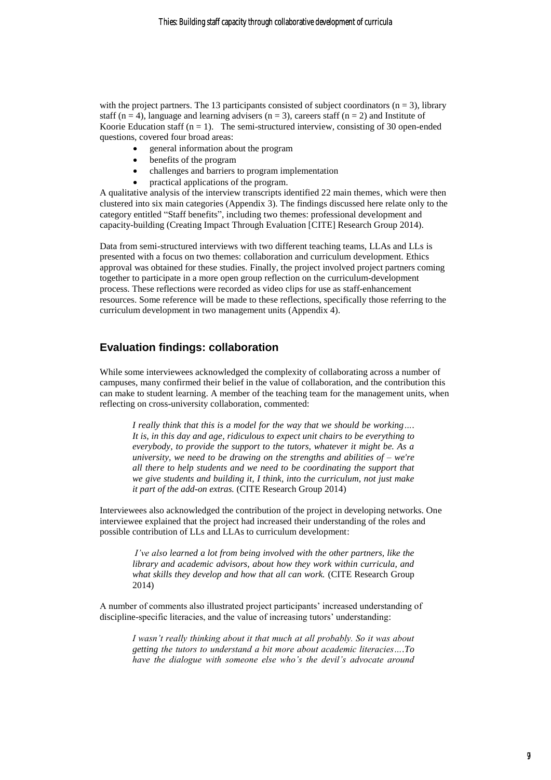with the project partners. The 13 participants consisted of subject coordinators ( $n = 3$ ), library staff (n = 4), language and learning advisers (n = 3), careers staff (n = 2) and Institute of Koorie Education staff  $(n = 1)$ . The semi-structured interview, consisting of 30 open-ended questions, covered four broad areas:

- general information about the program
- benefits of the program
- challenges and barriers to program implementation
- practical applications of the program.

A qualitative analysis of the interview transcripts identified 22 main themes, which were then clustered into six main categories (Appendix 3). The findings discussed here relate only to the category entitled "Staff benefits", including two themes: professional development and capacity-building (Creating Impact Through Evaluation [CITE] Research Group 2014).

Data from semi-structured interviews with two different teaching teams, LLAs and LLs is presented with a focus on two themes: collaboration and curriculum development. Ethics approval was obtained for these studies. Finally, the project involved project partners coming together to participate in a more open group reflection on the curriculum-development process. These reflections were recorded as video clips for use as staff-enhancement resources. Some reference will be made to these reflections, specifically those referring to the curriculum development in two management units (Appendix 4).

### **Evaluation findings: collaboration**

While some interviewees acknowledged the complexity of collaborating across a number of campuses, many confirmed their belief in the value of collaboration, and the contribution this can make to student learning. A member of the teaching team for the management units, when reflecting on cross-university collaboration, commented:

*I really think that this is a model for the way that we should be working…. It is, in this day and age, ridiculous to expect unit chairs to be everything to everybody, to provide the support to the tutors, whatever it might be. As a university, we need to be drawing on the strengths and abilities of – we're all there to help students and we need to be coordinating the support that we give students and building it, I think, into the curriculum, not just make it part of the add-on extras.* (CITE Research Group 2014)

Interviewees also acknowledged the contribution of the project in developing networks. One interviewee explained that the project had increased their understanding of the roles and possible contribution of LLs and LLAs to curriculum development:

*I've also learned a lot from being involved with the other partners, like the library and academic advisors, about how they work within curricula, and what skills they develop and how that all can work.* (CITE Research Group 2014)

A number of comments also illustrated project participants' increased understanding of discipline-specific literacies, and the value of increasing tutors' understanding:

*I wasn't really thinking about it that much at all probably. So it was about getting the tutors to understand a bit more about academic literacies….To have the dialogue with someone else who's the devil's advocate around*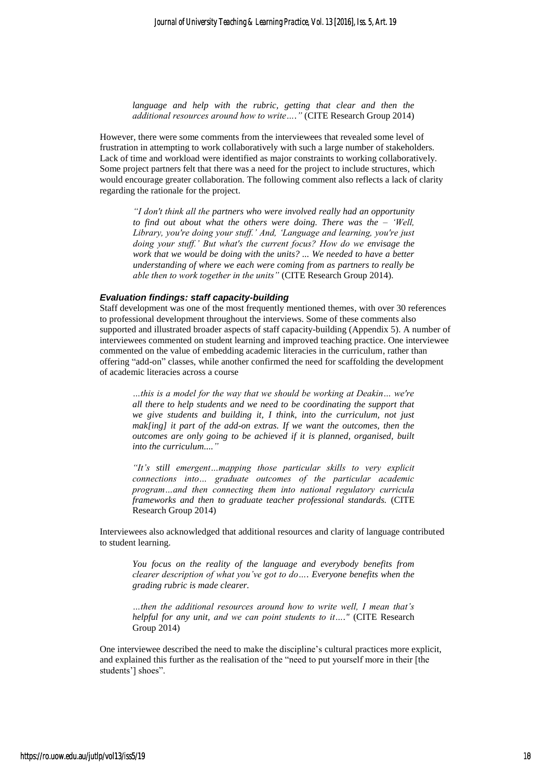*language and help with the rubric, getting that clear and then the additional resources around how to write…."* (CITE Research Group 2014)

However, there were some comments from the interviewees that revealed some level of frustration in attempting to work collaboratively with such a large number of stakeholders. Lack of time and workload were identified as major constraints to working collaboratively. Some project partners felt that there was a need for the project to include structures, which would encourage greater collaboration. The following comment also reflects a lack of clarity regarding the rationale for the project.

*"I don't think all the partners who were involved really had an opportunity to find out about what the others were doing. There was the – 'Well, Library, you're doing your stuff.' And, 'Language and learning, you're just doing your stuff.' But what's the current focus? How do we envisage the work that we would be doing with the units? ... We needed to have a better understanding of where we each were coming from as partners to really be able then to work together in the units"* (CITE Research Group 2014).

#### *Evaluation findings: staff capacity-building*

Staff development was one of the most frequently mentioned themes, with over 30 references to professional development throughout the interviews. Some of these comments also supported and illustrated broader aspects of staff capacity-building (Appendix 5). A number of interviewees commented on student learning and improved teaching practice. One interviewee commented on the value of embedding academic literacies in the curriculum, rather than offering "add-on" classes, while another confirmed the need for scaffolding the development of academic literacies across a course

*…this is a model for the way that we should be working at Deakin… we're all there to help students and we need to be coordinating the support that we give students and building it, I think, into the curriculum, not just mak[ing] it part of the add-on extras. If we want the outcomes, then the outcomes are only going to be achieved if it is planned, organised, built into the curriculum...."*

*"It's still emergent…mapping those particular skills to very explicit connections into… graduate outcomes of the particular academic program…and then connecting them into national regulatory curricula frameworks and then to graduate teacher professional standards.* (CITE Research Group 2014)

Interviewees also acknowledged that additional resources and clarity of language contributed to student learning.

*You focus on the reality of the language and everybody benefits from clearer description of what you've got to do…. Everyone benefits when the grading rubric is made clearer.*

*…then the additional resources around how to write well, I mean that's helpful for any unit, and we can point students to it…."* (CITE Research Group 2014)

One interviewee described the need to make the discipline's cultural practices more explicit, and explained this further as the realisation of the "need to put yourself more in their [the students'] shoes".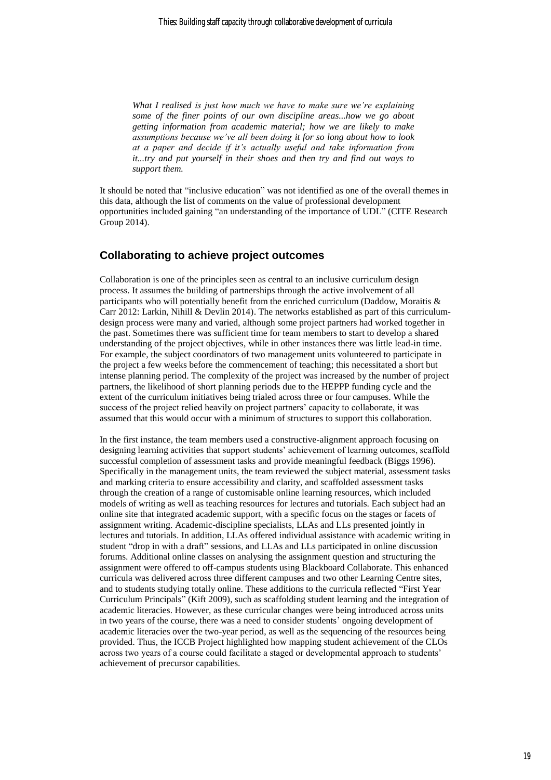*What I realised is just how much we have to make sure we're explaining some of the finer points of our own discipline areas...how we go about getting information from academic material; how we are likely to make assumptions because we've all been doing it for so long about how to look at a paper and decide if it's actually useful and take information from it...try and put yourself in their shoes and then try and find out ways to support them.*

It should be noted that "inclusive education" was not identified as one of the overall themes in this data, although the list of comments on the value of professional development opportunities included gaining "an understanding of the importance of UDL" (CITE Research Group 2014).

## **Collaborating to achieve project outcomes**

Collaboration is one of the principles seen as central to an inclusive curriculum design process. It assumes the building of partnerships through the active involvement of all participants who will potentially benefit from the enriched curriculum (Daddow, Moraitis & Carr 2012: Larkin, Nihill & Devlin 2014). The networks established as part of this curriculumdesign process were many and varied, although some project partners had worked together in the past. Sometimes there was sufficient time for team members to start to develop a shared understanding of the project objectives, while in other instances there was little lead-in time. For example, the subject coordinators of two management units volunteered to participate in the project a few weeks before the commencement of teaching; this necessitated a short but intense planning period. The complexity of the project was increased by the number of project partners, the likelihood of short planning periods due to the HEPPP funding cycle and the extent of the curriculum initiatives being trialed across three or four campuses. While the success of the project relied heavily on project partners' capacity to collaborate, it was assumed that this would occur with a minimum of structures to support this collaboration.

In the first instance, the team members used a constructive-alignment approach focusing on designing learning activities that support students' achievement of learning outcomes, scaffold successful completion of assessment tasks and provide meaningful feedback (Biggs 1996). Specifically in the management units, the team reviewed the subject material, assessment tasks and marking criteria to ensure accessibility and clarity, and scaffolded assessment tasks through the creation of a range of customisable online learning resources, which included models of writing as well as teaching resources for lectures and tutorials. Each subject had an online site that integrated academic support, with a specific focus on the stages or facets of assignment writing. Academic-discipline specialists, LLAs and LLs presented jointly in lectures and tutorials. In addition, LLAs offered individual assistance with academic writing in student "drop in with a draft" sessions, and LLAs and LLs participated in online discussion forums. Additional online classes on analysing the assignment question and structuring the assignment were offered to off-campus students using Blackboard Collaborate. This enhanced curricula was delivered across three different campuses and two other Learning Centre sites, and to students studying totally online. These additions to the curricula reflected "First Year Curriculum Principals" (Kift 2009), such as scaffolding student learning and the integration of academic literacies. However, as these curricular changes were being introduced across units in two years of the course, there was a need to consider students' ongoing development of academic literacies over the two-year period, as well as the sequencing of the resources being provided. Thus, the ICCB Project highlighted how mapping student achievement of the CLOs across two years of a course could facilitate a staged or developmental approach to students' achievement of precursor capabilities.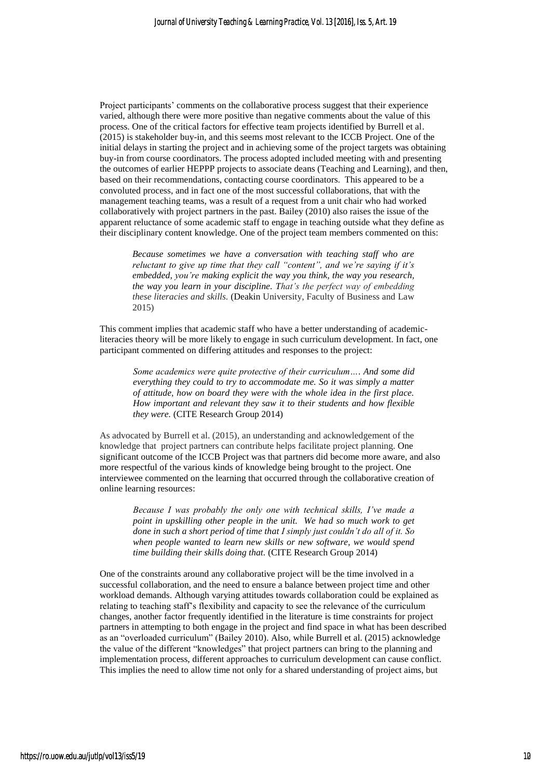Project participants' comments on the collaborative process suggest that their experience varied, although there were more positive than negative comments about the value of this process. One of the critical factors for effective team projects identified by Burrell et al. (2015) is stakeholder buy-in, and this seems most relevant to the ICCB Project. One of the initial delays in starting the project and in achieving some of the project targets was obtaining buy-in from course coordinators. The process adopted included meeting with and presenting the outcomes of earlier HEPPP projects to associate deans (Teaching and Learning), and then, based on their recommendations, contacting course coordinators. This appeared to be a convoluted process, and in fact one of the most successful collaborations, that with the management teaching teams, was a result of a request from a unit chair who had worked collaboratively with project partners in the past. Bailey (2010) also raises the issue of the apparent reluctance of some academic staff to engage in teaching outside what they define as their disciplinary content knowledge. One of the project team members commented on this:

*Because sometimes we have a conversation with teaching staff who are reluctant to give up time that they call "content", and we're saying if it's embedded, you're making explicit the way you think, the way you research, the way you learn in your discipline. That's the perfect way of embedding these literacies and skills.* (Deakin University, Faculty of Business and Law 2015)

This comment implies that academic staff who have a better understanding of academicliteracies theory will be more likely to engage in such curriculum development. In fact, one participant commented on differing attitudes and responses to the project:

*Some academics were quite protective of their curriculum…. And some did everything they could to try to accommodate me. So it was simply a matter of attitude, how on board they were with the whole idea in the first place. How important and relevant they saw it to their students and how flexible they were.* (CITE Research Group 2014)

As advocated by Burrell et al. (2015), an understanding and acknowledgement of the knowledge that project partners can contribute helps facilitate project planning. One significant outcome of the ICCB Project was that partners did become more aware, and also more respectful of the various kinds of knowledge being brought to the project. One interviewee commented on the learning that occurred through the collaborative creation of online learning resources:

*Because I was probably the only one with technical skills, I've made a point in upskilling other people in the unit. We had so much work to get done in such a short period of time that I simply just couldn't do all of it. So when people wanted to learn new skills or new software, we would spend time building their skills doing that.* (CITE Research Group 2014)

One of the constraints around any collaborative project will be the time involved in a successful collaboration, and the need to ensure a balance between project time and other workload demands. Although varying attitudes towards collaboration could be explained as relating to teaching staff's flexibility and capacity to see the relevance of the curriculum changes, another factor frequently identified in the literature is time constraints for project partners in attempting to both engage in the project and find space in what has been described as an "overloaded curriculum" (Bailey 2010). Also, while Burrell et al. (2015) acknowledge the value of the different "knowledges" that project partners can bring to the planning and implementation process, different approaches to curriculum development can cause conflict. This implies the need to allow time not only for a shared understanding of project aims, but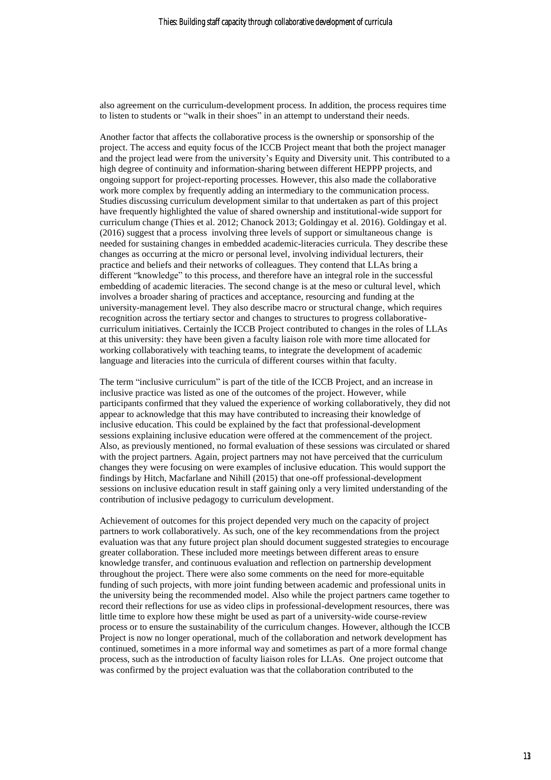also agreement on the curriculum-development process. In addition, the process requires time to listen to students or "walk in their shoes" in an attempt to understand their needs.

Another factor that affects the collaborative process is the ownership or sponsorship of the project. The access and equity focus of the ICCB Project meant that both the project manager and the project lead were from the university's Equity and Diversity unit. This contributed to a high degree of continuity and information-sharing between different HEPPP projects, and ongoing support for project-reporting processes. However, this also made the collaborative work more complex by frequently adding an intermediary to the communication process. Studies discussing curriculum development similar to that undertaken as part of this project have frequently highlighted the value of shared ownership and institutional-wide support for curriculum change (Thies et al. 2012; Chanock 2013; Goldingay et al. 2016). Goldingay et al. (2016) suggest that a process involving three levels of support or simultaneous change is needed for sustaining changes in embedded academic-literacies curricula. They describe these changes as occurring at the micro or personal level, involving individual lecturers, their practice and beliefs and their networks of colleagues. They contend that LLAs bring a different "knowledge" to this process, and therefore have an integral role in the successful embedding of academic literacies. The second change is at the meso or cultural level, which involves a broader sharing of practices and acceptance, resourcing and funding at the university-management level. They also describe macro or structural change, which requires recognition across the tertiary sector and changes to structures to progress collaborativecurriculum initiatives. Certainly the ICCB Project contributed to changes in the roles of LLAs at this university: they have been given a faculty liaison role with more time allocated for working collaboratively with teaching teams, to integrate the development of academic language and literacies into the curricula of different courses within that faculty.

The term "inclusive curriculum" is part of the title of the ICCB Project, and an increase in inclusive practice was listed as one of the outcomes of the project. However, while participants confirmed that they valued the experience of working collaboratively, they did not appear to acknowledge that this may have contributed to increasing their knowledge of inclusive education. This could be explained by the fact that professional-development sessions explaining inclusive education were offered at the commencement of the project. Also, as previously mentioned, no formal evaluation of these sessions was circulated or shared with the project partners. Again, project partners may not have perceived that the curriculum changes they were focusing on were examples of inclusive education. This would support the findings by Hitch, Macfarlane and Nihill (2015) that one-off professional-development sessions on inclusive education result in staff gaining only a very limited understanding of the contribution of inclusive pedagogy to curriculum development.

Achievement of outcomes for this project depended very much on the capacity of project partners to work collaboratively. As such, one of the key recommendations from the project evaluation was that any future project plan should document suggested strategies to encourage greater collaboration. These included more meetings between different areas to ensure knowledge transfer, and continuous evaluation and reflection on partnership development throughout the project. There were also some comments on the need for more-equitable funding of such projects, with more joint funding between academic and professional units in the university being the recommended model. Also while the project partners came together to record their reflections for use as video clips in professional-development resources, there was little time to explore how these might be used as part of a university-wide course-review process or to ensure the sustainability of the curriculum changes. However, although the ICCB Project is now no longer operational, much of the collaboration and network development has continued, sometimes in a more informal way and sometimes as part of a more formal change process, such as the introduction of faculty liaison roles for LLAs. One project outcome that was confirmed by the project evaluation was that the collaboration contributed to the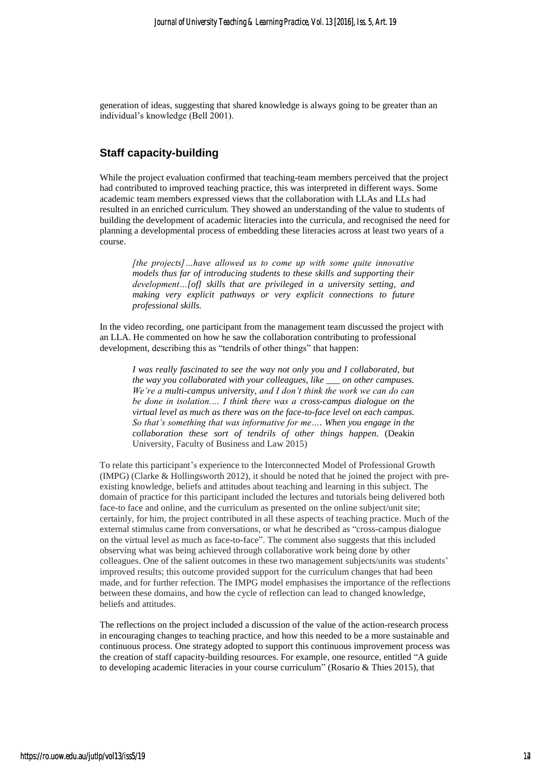generation of ideas, suggesting that shared knowledge is always going to be greater than an individual's knowledge (Bell 2001).

## **Staff capacity-building**

While the project evaluation confirmed that teaching-team members perceived that the project had contributed to improved teaching practice, this was interpreted in different ways. Some academic team members expressed views that the collaboration with LLAs and LLs had resulted in an enriched curriculum. They showed an understanding of the value to students of building the development of academic literacies into the curricula, and recognised the need for planning a developmental process of embedding these literacies across at least two years of a course.

*[the projects]…have allowed us to come up with some quite innovative models thus far of introducing students to these skills and supporting their development…[of] skills that are privileged in a university setting, and making very explicit pathways or very explicit connections to future professional skills.*

In the video recording, one participant from the management team discussed the project with an LLA. He commented on how he saw the collaboration contributing to professional development, describing this as "tendrils of other things" that happen:

*I was really fascinated to see the way not only you and I collaborated, but the way you collaborated with your colleagues, like \_\_\_ on other campuses. We're a multi-campus university, and I don't think the work we can do can be done in isolation.… I think there was a cross-campus dialogue on the virtual level as much as there was on the face-to-face level on each campus. So that's something that was informative for me…. When you engage in the collaboration these sort of tendrils of other things happen.* (Deakin University, Faculty of Business and Law 2015)

To relate this participant's experience to the Interconnected Model of Professional Growth (IMPG) (Clarke & Hollingsworth 2012), it should be noted that he joined the project with preexisting knowledge, beliefs and attitudes about teaching and learning in this subject. The domain of practice for this participant included the lectures and tutorials being delivered both face-to face and online, and the curriculum as presented on the online subject/unit site; certainly, for him, the project contributed in all these aspects of teaching practice. Much of the external stimulus came from conversations, or what he described as "cross-campus dialogue on the virtual level as much as face-to-face". The comment also suggests that this included observing what was being achieved through collaborative work being done by other colleagues. One of the salient outcomes in these two management subjects/units was students' improved results; this outcome provided support for the curriculum changes that had been made, and for further refection. The IMPG model emphasises the importance of the reflections between these domains, and how the cycle of reflection can lead to changed knowledge, beliefs and attitudes.

The reflections on the project included a discussion of the value of the action-research process in encouraging changes to teaching practice, and how this needed to be a more sustainable and continuous process. One strategy adopted to support this continuous improvement process was the creation of staff capacity-building resources. For example, one resource, entitled "A guide to developing academic literacies in your course curriculum" (Rosario & Thies 2015), that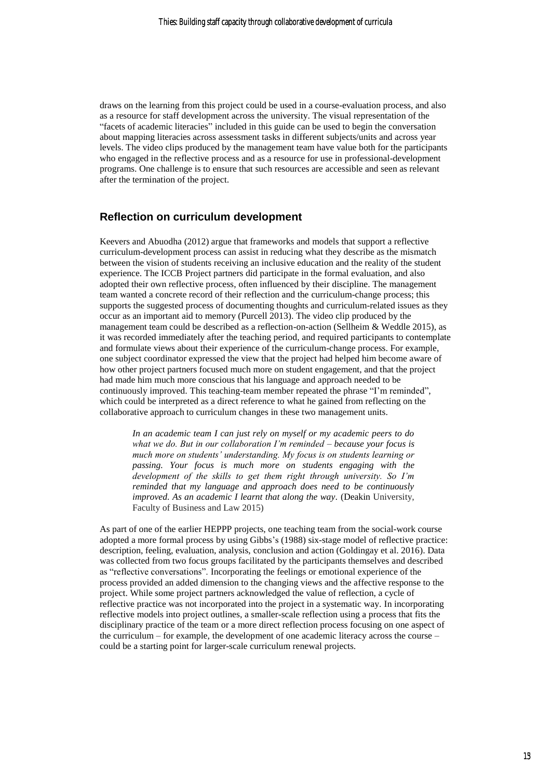draws on the learning from this project could be used in a course-evaluation process, and also as a resource for staff development across the university. The visual representation of the "facets of academic literacies" included in this guide can be used to begin the conversation about mapping literacies across assessment tasks in different subjects/units and across year levels. The video clips produced by the management team have value both for the participants who engaged in the reflective process and as a resource for use in professional-development programs. One challenge is to ensure that such resources are accessible and seen as relevant after the termination of the project.

### **Reflection on curriculum development**

Keevers and Abuodha (2012) argue that frameworks and models that support a reflective curriculum-development process can assist in reducing what they describe as the mismatch between the vision of students receiving an inclusive education and the reality of the student experience. The ICCB Project partners did participate in the formal evaluation, and also adopted their own reflective process, often influenced by their discipline. The management team wanted a concrete record of their reflection and the curriculum-change process; this supports the suggested process of documenting thoughts and curriculum-related issues as they occur as an important aid to memory (Purcell 2013). The video clip produced by the management team could be described as a reflection-on-action (Sellheim & Weddle 2015), as it was recorded immediately after the teaching period, and required participants to contemplate and formulate views about their experience of the curriculum-change process. For example, one subject coordinator expressed the view that the project had helped him become aware of how other project partners focused much more on student engagement, and that the project had made him much more conscious that his language and approach needed to be continuously improved. This teaching-team member repeated the phrase "I'm reminded", which could be interpreted as a direct reference to what he gained from reflecting on the collaborative approach to curriculum changes in these two management units.

*In an academic team I can just rely on myself or my academic peers to do what we do. But in our collaboration I'm reminded – because your focus is much more on students' understanding. My focus is on students learning or passing. Your focus is much more on students engaging with the development of the skills to get them right through university. So I'm reminded that my language and approach does need to be continuously improved. As an academic I learnt that along the way.* (Deakin University, Faculty of Business and Law 2015)

As part of one of the earlier HEPPP projects, one teaching team from the social-work course adopted a more formal process by using Gibbs's (1988) six-stage model of reflective practice: description, feeling, evaluation, analysis, conclusion and action (Goldingay et al. 2016). Data was collected from two focus groups facilitated by the participants themselves and described as "reflective conversations". Incorporating the feelings or emotional experience of the process provided an added dimension to the changing views and the affective response to the project. While some project partners acknowledged the value of reflection, a cycle of reflective practice was not incorporated into the project in a systematic way. In incorporating reflective models into project outlines, a smaller-scale reflection using a process that fits the disciplinary practice of the team or a more direct reflection process focusing on one aspect of the curriculum – for example, the development of one academic literacy across the course – could be a starting point for larger-scale curriculum renewal projects.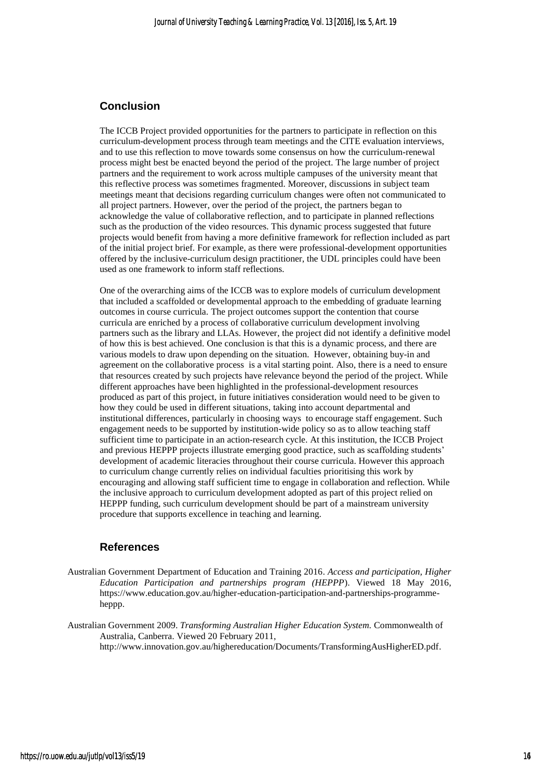## **Conclusion**

The ICCB Project provided opportunities for the partners to participate in reflection on this curriculum-development process through team meetings and the CITE evaluation interviews, and to use this reflection to move towards some consensus on how the curriculum-renewal process might best be enacted beyond the period of the project. The large number of project partners and the requirement to work across multiple campuses of the university meant that this reflective process was sometimes fragmented. Moreover, discussions in subject team meetings meant that decisions regarding curriculum changes were often not communicated to all project partners. However, over the period of the project, the partners began to acknowledge the value of collaborative reflection, and to participate in planned reflections such as the production of the video resources. This dynamic process suggested that future projects would benefit from having a more definitive framework for reflection included as part of the initial project brief. For example, as there were professional-development opportunities offered by the inclusive-curriculum design practitioner, the UDL principles could have been used as one framework to inform staff reflections.

One of the overarching aims of the ICCB was to explore models of curriculum development that included a scaffolded or developmental approach to the embedding of graduate learning outcomes in course curricula. The project outcomes support the contention that course curricula are enriched by a process of collaborative curriculum development involving partners such as the library and LLAs. However, the project did not identify a definitive model of how this is best achieved. One conclusion is that this is a dynamic process, and there are various models to draw upon depending on the situation. However, obtaining buy-in and agreement on the collaborative process is a vital starting point. Also, there is a need to ensure that resources created by such projects have relevance beyond the period of the project. While different approaches have been highlighted in the professional-development resources produced as part of this project, in future initiatives consideration would need to be given to how they could be used in different situations, taking into account departmental and institutional differences, particularly in choosing ways to encourage staff engagement. Such engagement needs to be supported by institution-wide policy so as to allow teaching staff sufficient time to participate in an action-research cycle. At this institution, the ICCB Project and previous HEPPP projects illustrate emerging good practice, such as scaffolding students' development of academic literacies throughout their course curricula. However this approach to curriculum change currently relies on individual faculties prioritising this work by encouraging and allowing staff sufficient time to engage in collaboration and reflection. While the inclusive approach to curriculum development adopted as part of this project relied on HEPPP funding, such curriculum development should be part of a mainstream university procedure that supports excellence in teaching and learning.

### **References**

Australian Government Department of Education and Training 2016. *Access and participation, Higher Education Participation and partnerships program (HEPPP*). Viewed 18 May 2016, https://www.education.gov.au/higher-education-participation-and-partnerships-programmeheppp.

Australian Government 2009. *Transforming Australian Higher Education System.* Commonwealth of Australia, Canberra. Viewed 20 February 2011, http://www.innovation.gov.au/highereducation/Documents/TransformingAusHigherED.pdf.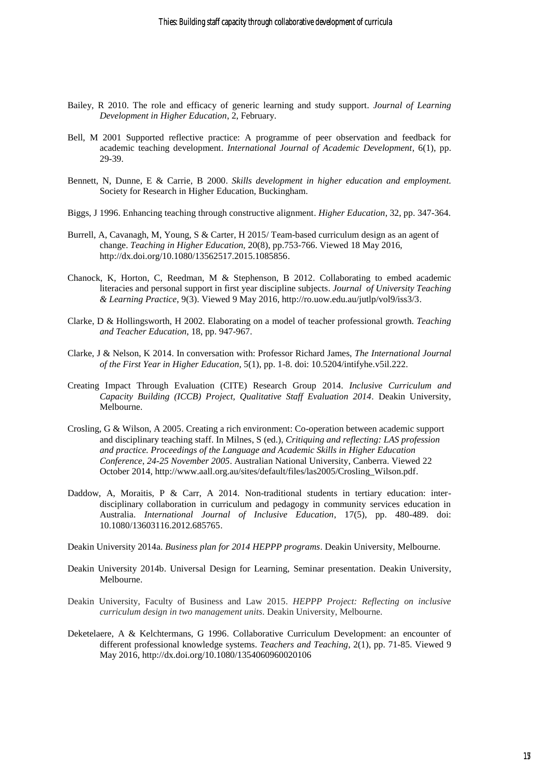- Bailey, R 2010. The role and efficacy of generic learning and study support. *Journal of Learning Development in Higher Education*, 2, February.
- Bell, M 2001 Supported reflective practice: A programme of peer observation and feedback for academic teaching development. *International Journal of Academic Development*, 6(1), pp. 29-39.
- Bennett, N, Dunne, E & Carrie, B 2000. *Skills development in higher education and employment.* Society for Research in Higher Education, Buckingham.
- Biggs, J 1996. Enhancing teaching through constructive alignment. *Higher Education*, 32, pp. 347-364.
- Burrell, A, Cavanagh, M, Young, S & Carter, H 2015/ Team-based curriculum design as an agent of change. *Teaching in Higher Education,* 20(8), pp.753-766. Viewed 18 May 2016, http://dx.doi.org/10.1080/13562517.2015.1085856.
- Chanock, K, Horton, C, Reedman, M & Stephenson, B 2012. Collaborating to embed academic literacies and personal support in first year discipline subjects. *Journal of University Teaching & Learning Practice*, 9(3). Viewed 9 May 2016, http://ro.uow.edu.au/jutlp/vol9/iss3/3.
- Clarke, D & Hollingsworth, H 2002. Elaborating on a model of teacher professional growth. *Teaching and Teacher Education*, 18, pp. 947-967.
- Clarke, J & Nelson, K 2014. In conversation with: Professor Richard James, *The International Journal of the First Year in Higher Education,* 5(1), pp. 1-8. doi: 10.5204/intifyhe.v5il.222.
- Creating Impact Through Evaluation (CITE) Research Group 2014. *Inclusive Curriculum and Capacity Building (ICCB) Project, Qualitative Staff Evaluation 2014.* Deakin University, Melbourne.
- Crosling, G & Wilson, A 2005. Creating a rich environment: Co-operation between academic support and disciplinary teaching staff. In Milnes, S (ed.), *Critiquing and reflecting: LAS profession and practice. Proceedings of the Language and Academic Skills in Higher Education Conference*, *24-25 November 2005*. Australian National University, Canberra. Viewed 22 October 2014, http://www.aall.org.au/sites/default/files/las2005/Crosling\_Wilson.pdf.
- Daddow, A, Moraitis, P & Carr, A 2014. Non-traditional students in tertiary education: interdisciplinary collaboration in curriculum and pedagogy in community services education in Australia. *International Journal of Inclusive Education*, 17(5), pp. 480-489. doi: 10.1080/13603116.2012.685765.
- Deakin University 2014a. *Business plan for 2014 HEPPP programs*. Deakin University, Melbourne.
- Deakin University 2014b. Universal Design for Learning, Seminar presentation. Deakin University, Melbourne.
- Deakin University, Faculty of Business and Law 2015. *HEPPP Project: Reflecting on inclusive curriculum design in two management units.* Deakin University, Melbourne.
- Deketelaere, A & Kelchtermans, G 1996. Collaborative Curriculum Development: an encounter of different professional knowledge systems. *Teachers and Teaching*, 2(1), pp. 71-85. Viewed 9 May 2016, http://dx.doi.org/10.1080/1354060960020106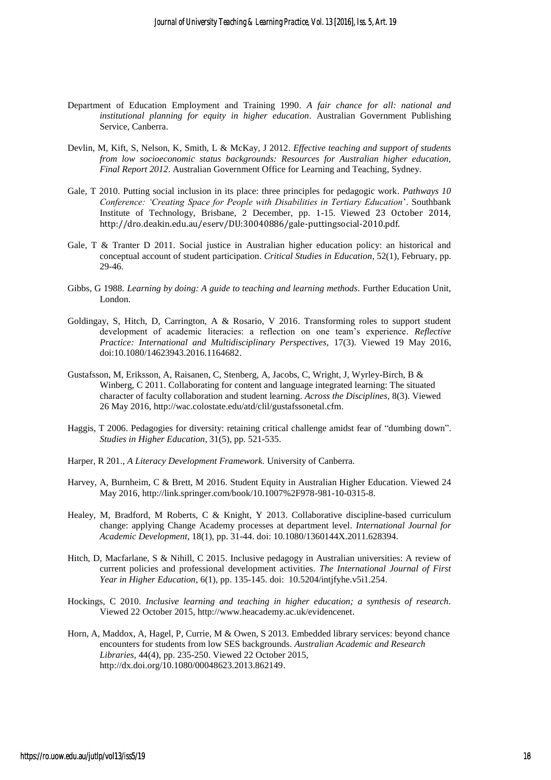- Department of Education Employment and Training 1990. *A fair chance for all: national and institutional planning for equity in higher education.* Australian Government Publishing Service, Canberra.
- Devlin, M, Kift, S, Nelson, K, Smith, L & McKay, J 2012. *Effective teaching and support of students from low socioeconomic status backgrounds: Resources for Australian higher education, Final Report 2012*. Australian Government Office for Learning and Teaching, Sydney.
- Gale, T 2010. Putting social inclusion in its place: three principles for pedagogic work. *Pathways 10 Conference: 'Creating Space for People with Disabilities in Tertiary Education*'. Southbank Institute of Technology, Brisbane, 2 December, pp. 1-15. Viewed 23 October 2014, http://dro.deakin.edu.au/eserv/DU:30040886/gale-puttingsocial-2010.pdf.
- Gale, T & Tranter D 2011. Social justice in Australian higher education policy: an historical and conceptual account of student participation. *Critical Studies in Education*, 52(1), February, pp. 29-46.
- Gibbs, G 1988. *Learning by doing: A guide to teaching and learning methods.* Further Education Unit, London.
- Goldingay, S, Hitch, D, Carrington, A & Rosario, V 2016. Transforming roles to support student development of academic literacies: a reflection on one team's experience. *Reflective Practice: International and Multidisciplinary Perspectives,* 17(3). Viewed 19 May 2016, doi:10.1080/14623943.2016.1164682.
- Gustafsson, M, Eriksson, A, Raisanen, C, Stenberg, A, Jacobs, C, Wright, J, Wyrley-Birch, B & Winberg, C 2011. Collaborating for content and language integrated learning: The situated character of faculty collaboration and student learning. *Across the Disciplines,* 8(3). Viewed 26 May 2016, http://wac.colostate.edu/atd/clil/gustafssonetal.cfm.
- Haggis, T 2006. Pedagogies for diversity: retaining critical challenge amidst fear of "dumbing down". *Studies in Higher Education*, 31(5), pp. 521-535.
- Harper, R 201., *A Literacy Development Framework.* University of Canberra.
- Harvey, A, Burnheim, C & Brett, M 2016. Student Equity in Australian Higher Education. Viewed 24 May 2016, http://link.springer.com/book/10.1007%2F978-981-10-0315-8.
- Healey, M, Bradford, M Roberts, C & Knight, Y 2013. Collaborative discipline-based curriculum change: applying Change Academy processes at department level. *International Journal for Academic Development*, 18(1), pp. 31-44. doi: 10.1080/1360144X.2011.628394.
- Hitch, D, Macfarlane, S & Nihill, C 2015. Inclusive pedagogy in Australian universities: A review of current policies and professional development activities. *The International Journal of First Year in Higher Education*, 6(1), pp. 135-145. doi: 10.5204/intjfyhe.v5i1.254.
- Hockings, C 2010. *Inclusive learning and teaching in higher education; a synthesis of research.* Viewed 22 October 2015, http://www.heacademy.ac.uk/evidencenet.
- Horn, A, Maddox, A, Hagel, P, Currie, M & Owen, S 2013. Embedded library services: beyond chance encounters for students from low SES backgrounds. *Australian Academic and Research Libraries*, 44(4), pp. 235-250. Viewed 22 October 2015, http://dx.doi.org/10.1080/00048623.2013.862149.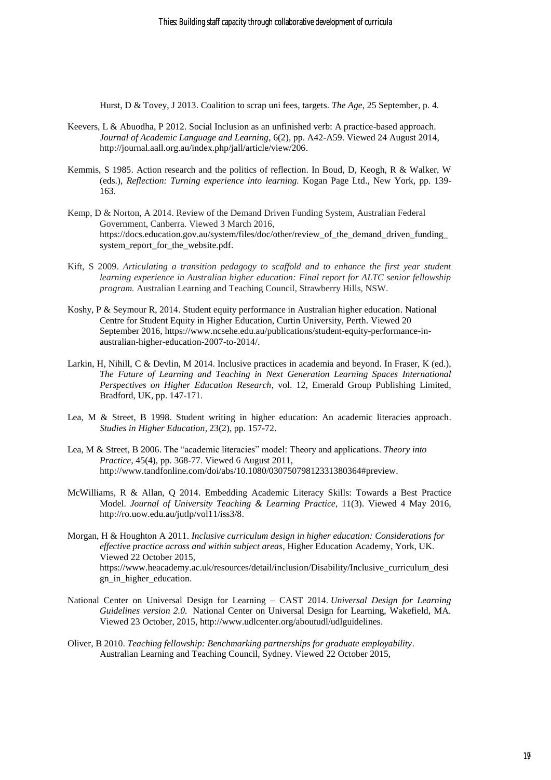Hurst, D & Tovey, J 2013. Coalition to scrap uni fees, targets. *The Age*, 25 September, p. 4.

- Keevers, L & Abuodha, P 2012. Social Inclusion as an unfinished verb: A practice-based approach. *Journal of Academic Language and Learning*, 6(2), pp. A42-A59. Viewed 24 August 2014, http://journal.aall.org.au/index.php/jall/article/view/206.
- Kemmis, S 1985. Action research and the politics of reflection. In Boud, D, Keogh, R & Walker, W (eds.), *Reflection: Turning experience into learning.* Kogan Page Ltd., New York, pp. 139- 163.
- Kemp, D & Norton, A 2014. Review of the Demand Driven Funding System, Australian Federal Government, Canberra. Viewed 3 March 2016, [https://docs.education.gov.au/system/files/doc/other/review\\_of\\_the\\_demand\\_driven\\_funding\\_](https://docs.education.gov.au/system/files/doc/other/review_of_the_demand_driven_funding_system_report_for_the_website.pdf) [system\\_report\\_for\\_the\\_website.pdf.](https://docs.education.gov.au/system/files/doc/other/review_of_the_demand_driven_funding_system_report_for_the_website.pdf)
- Kift, S 2009. *Articulating a transition pedagogy to scaffold and to enhance the first year student learning experience in Australian higher education: Final report for ALTC senior fellowship program.* Australian Learning and Teaching Council, Strawberry Hills, NSW.
- Koshy, P & Seymour R, 2014. Student equity performance in Australian higher education. National Centre for Student Equity in Higher Education, Curtin University, Perth. Viewed 20 September 2016, https://www.ncsehe.edu.au/publications/student-equity-performance-inaustralian-higher-education-2007-to-2014/.
- Larkin, H, Nihill, C & Devlin, M 2014. Inclusive practices in academia and beyond. In Fraser, K (ed.), *The Future of Learning and Teaching in Next Generation Learning Spaces International Perspectives on Higher Education Research*, vol. 12, Emerald Group Publishing Limited, Bradford, UK, pp. 147-171.
- Lea, M & Street, B 1998. Student writing in higher education: An academic literacies approach. *Studies in Higher Education,* 23(2), pp. 157-72.
- Lea, M & Street, B 2006. The "academic literacies" model: Theory and applications. *Theory into Practice,* 45(4), pp. 368-77. Viewed 6 August 2011, http://www.tandfonline.com/doi/abs/10.1080/03075079812331380364#preview.
- McWilliams, R & Allan, Q 2014. Embedding Academic Literacy Skills: Towards a Best Practice Model. *Journal of University Teaching & Learning Practice*, 11(3). Viewed 4 May 2016, http://ro.uow.edu.au/jutlp/vol11/iss3/8.
- Morgan, H & Houghton A 2011. *Inclusive curriculum design in higher education: Considerations for effective practice across and within subject areas*, Higher Education Academy, York, UK. Viewed 22 October 2015, https://www.heacademy.ac.uk/resources/detail/inclusion/Disability/Inclusive\_curriculum\_desi gn in higher education.
- National Center on Universal Design for Learning CAST 2014. *Universal Design for Learning Guidelines version 2.0.* National Center on Universal Design for Learning, Wakefield, MA. Viewed 23 October, 2015, http://www.udlcenter.org/aboutudl/udlguidelines.
- Oliver, B 2010. *Teaching fellowship: Benchmarking partnerships for graduate employability*. Australian Learning and Teaching Council, Sydney. Viewed 22 October 2015,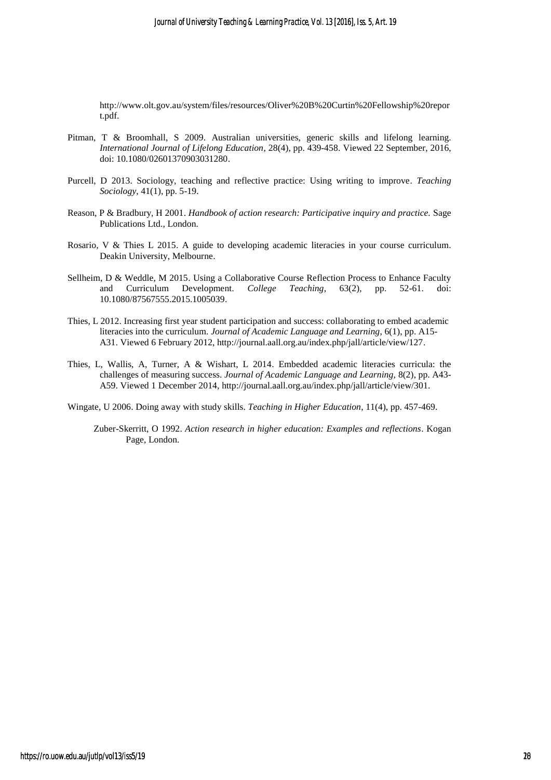http://www.olt.gov.au/system/files/resources/Oliver%20B%20Curtin%20Fellowship%20repor t.pdf.

- Pitman, T & Broomhall, S 2009. Australian universities, generic skills and lifelong learning. *International Journal of Lifelong Education*, 28(4), pp. 439-458. Viewed 22 September, 2016, doi: 10.1080/02601370903031280.
- Purcell, D 2013. Sociology, teaching and reflective practice: Using writing to improve. *Teaching Sociology*, 41(1), pp. 5-19.
- Reason, P & Bradbury, H 2001. *Handbook of action research: Participative inquiry and practice.* Sage Publications Ltd., London.
- Rosario, V & Thies L 2015. A guide to developing academic literacies in your course curriculum. Deakin University, Melbourne.
- Sellheim, D & Weddle, M 2015. Using a Collaborative Course Reflection Process to Enhance Faculty and Curriculum Development. *College Teaching*, 63(2), pp. 52-61. doi: 10.1080/87567555.2015.1005039.
- Thies, L 2012. Increasing first year student participation and success: collaborating to embed academic literacies into the curriculum. *Journal of Academic Language and Learning*, 6(1), pp. A15- A31. Viewed 6 February 2012, http://journal.aall.org.au/index.php/jall/article/view/127.
- Thies, L, Wallis, A, Turner, A & Wishart, L 2014. Embedded academic literacies curricula: the challenges of measuring success. *Journal of Academic Language and Learning,* 8(2), pp. A43- A59. Viewed 1 December 2014, http://journal.aall.org.au/index.php/jall/article/view/301.

Wingate, U 2006. Doing away with study skills. *Teaching in Higher Education*, 11(4), pp. 457-469.

Zuber-Skerritt, O 1992. *Action research in higher education: Examples and reflections*. Kogan Page, London.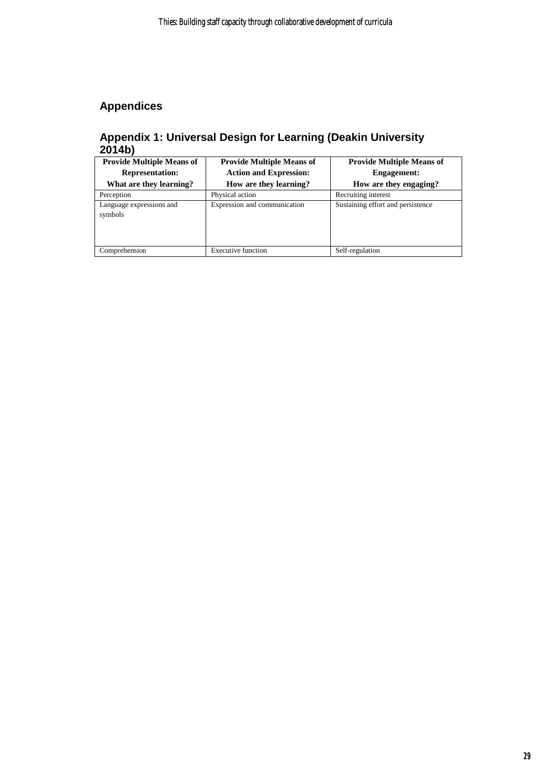## **Appendices**

## **Appendix 1: Universal Design for Learning (Deakin University 2014b)**

| <b>Provide Multiple Means of</b>    | <b>Provide Multiple Means of</b> | <b>Provide Multiple Means of</b>  |  |
|-------------------------------------|----------------------------------|-----------------------------------|--|
| <b>Representation:</b>              | <b>Action and Expression:</b>    | <b>Engagement:</b>                |  |
| What are they learning?             | How are they learning?           | How are they engaging?            |  |
| Perception                          | Physical action                  | Recruiting interest               |  |
| Language expressions and<br>symbols | Expression and communication     | Sustaining effort and persistence |  |
| Comprehension                       | <b>Executive function</b>        | Self-regulation                   |  |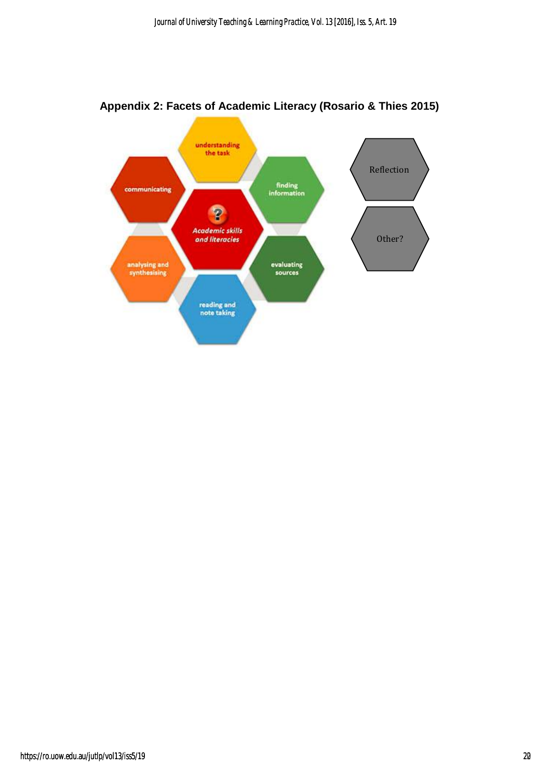

## **Appendix 2: Facets of Academic Literacy (Rosario & Thies 2015)**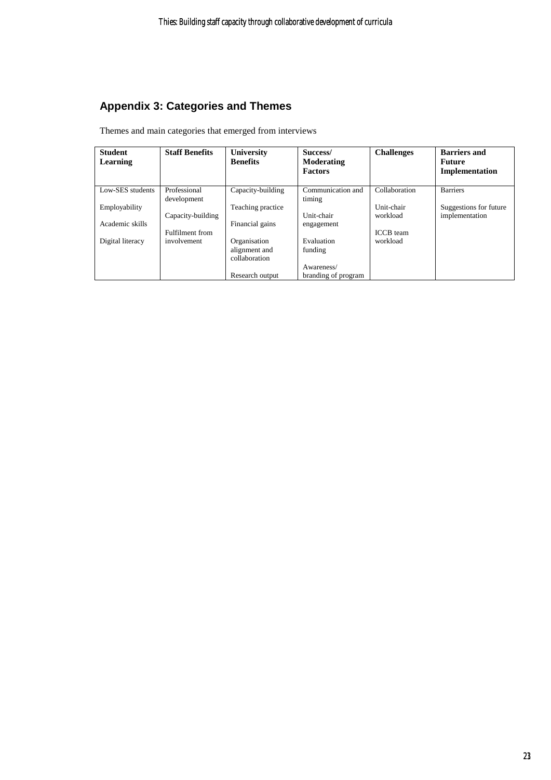## **Appendix 3: Categories and Themes**

Themes and main categories that emerged from interviews

| <b>Student</b><br>Learning | <b>Staff Benefits</b>       | University<br><b>Benefits</b> | Success/<br>Moderating<br><b>Factors</b> | <b>Challenges</b> | <b>Barriers and</b><br><b>Future</b><br>Implementation |
|----------------------------|-----------------------------|-------------------------------|------------------------------------------|-------------------|--------------------------------------------------------|
| Low-SES students           | Professional<br>development | Capacity-building             | Communication and<br>timing              | Collaboration     | <b>Barriers</b>                                        |
| Employability              |                             | Teaching practice             |                                          | Unit-chair        | Suggestions for future                                 |
|                            | Capacity-building           |                               | Unit-chair                               | workload          | implementation                                         |
| Academic skills            |                             | Financial gains               | engagement                               |                   |                                                        |
|                            | Fulfilment from             |                               |                                          | <b>ICCB</b> team  |                                                        |
| Digital literacy           | involvement                 | Organisation                  | Evaluation                               | workload          |                                                        |
|                            |                             | alignment and                 | funding                                  |                   |                                                        |
|                            |                             | collaboration                 |                                          |                   |                                                        |
|                            |                             |                               | Awareness/                               |                   |                                                        |
|                            |                             | Research output               | branding of program                      |                   |                                                        |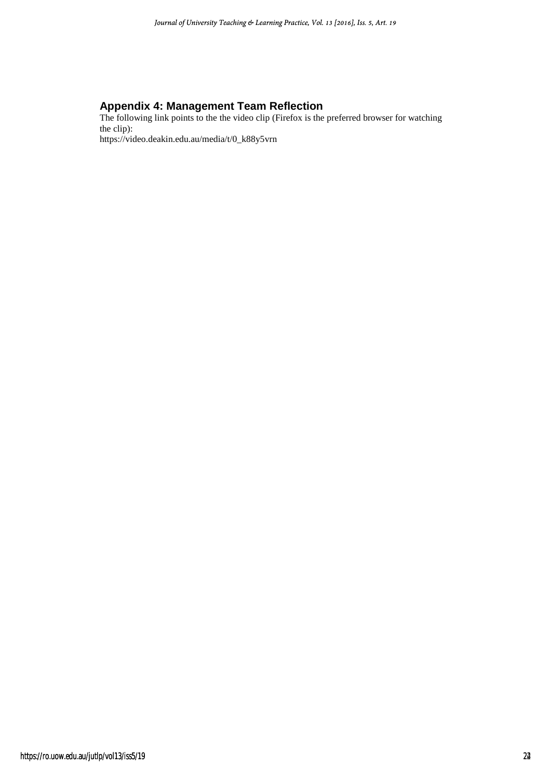## **Appendix 4: Management Team Reflection**

The following link points to the the video clip (Firefox is the preferred browser for watching the clip): https://video.deakin.edu.au/media/t/0\_k88y5vrn